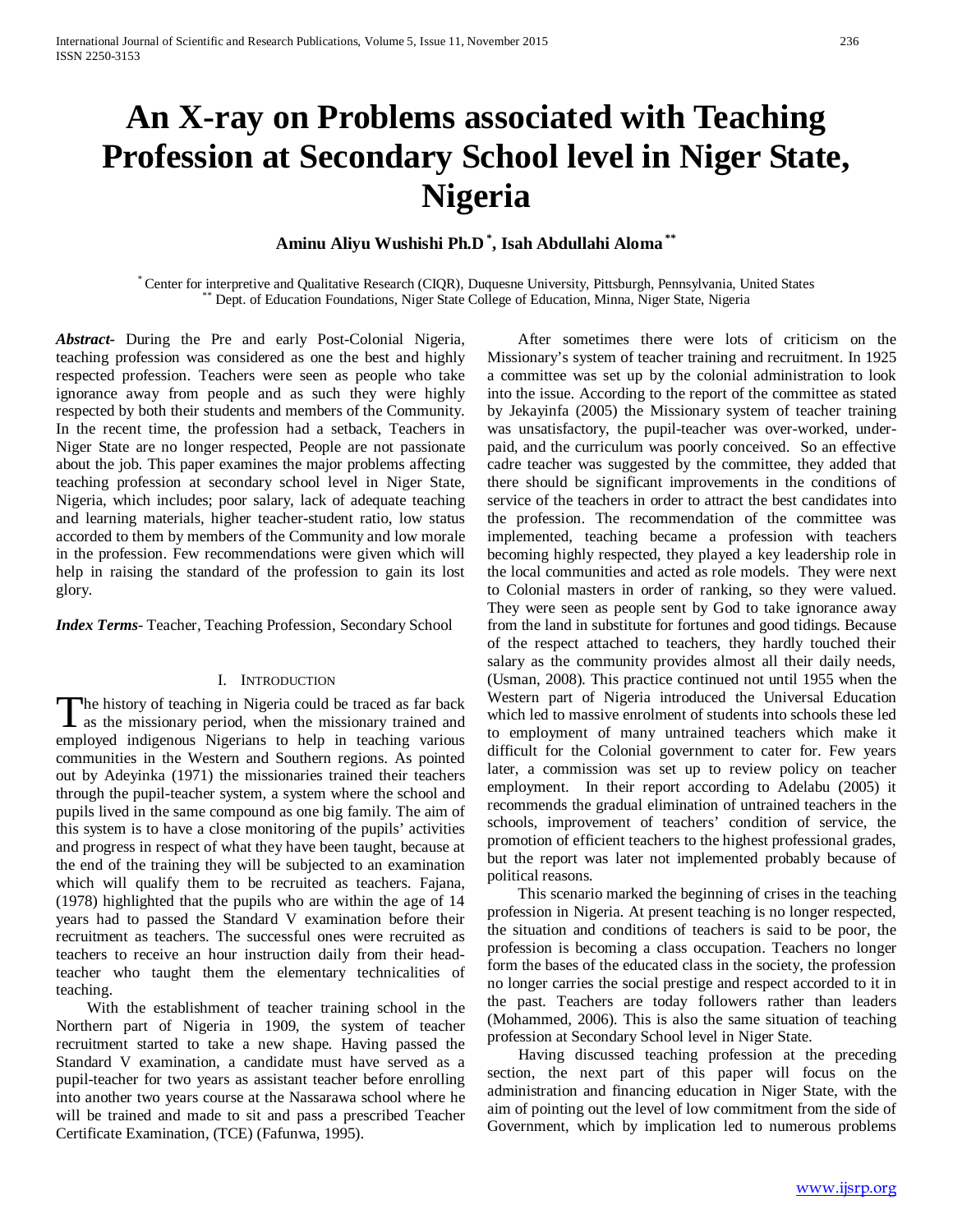# **An X-ray on Problems associated with Teaching Profession at Secondary School level in Niger State, Nigeria**

# **Aminu Aliyu Wushishi Ph.D \* , Isah Abdullahi Aloma \*\***

\* Center for interpretive and Qualitative Research (CIQR), Duquesne University, Pittsburgh, Pennsylvania, United States \*\* Dept. of Education Foundations, Niger State College of Education, Minna, Niger State, Nigeria

*Abstract***-** During the Pre and early Post-Colonial Nigeria, teaching profession was considered as one the best and highly respected profession. Teachers were seen as people who take ignorance away from people and as such they were highly respected by both their students and members of the Community. In the recent time, the profession had a setback, Teachers in Niger State are no longer respected, People are not passionate about the job. This paper examines the major problems affecting teaching profession at secondary school level in Niger State, Nigeria, which includes; poor salary, lack of adequate teaching and learning materials, higher teacher-student ratio, low status accorded to them by members of the Community and low morale in the profession. Few recommendations were given which will help in raising the standard of the profession to gain its lost glory.

*Index Terms*- Teacher, Teaching Profession, Secondary School

## I. INTRODUCTION

The history of teaching in Nigeria could be traced as far back The history of teaching in Nigeria could be traced as far back<br>as the missionary period, when the missionary trained and<br> $\sum_{n=1}^{\infty}$ employed indigenous Nigerians to help in teaching various communities in the Western and Southern regions. As pointed out by Adeyinka (1971) the missionaries trained their teachers through the pupil-teacher system, a system where the school and pupils lived in the same compound as one big family. The aim of this system is to have a close monitoring of the pupils' activities and progress in respect of what they have been taught, because at the end of the training they will be subjected to an examination which will qualify them to be recruited as teachers. Fajana, (1978) highlighted that the pupils who are within the age of 14 years had to passed the Standard V examination before their recruitment as teachers. The successful ones were recruited as teachers to receive an hour instruction daily from their headteacher who taught them the elementary technicalities of teaching.

 With the establishment of teacher training school in the Northern part of Nigeria in 1909, the system of teacher recruitment started to take a new shape. Having passed the Standard V examination, a candidate must have served as a pupil-teacher for two years as assistant teacher before enrolling into another two years course at the Nassarawa school where he will be trained and made to sit and pass a prescribed Teacher Certificate Examination, (TCE) (Fafunwa, 1995).

 After sometimes there were lots of criticism on the Missionary's system of teacher training and recruitment. In 1925 a committee was set up by the colonial administration to look into the issue. According to the report of the committee as stated by Jekayinfa (2005) the Missionary system of teacher training was unsatisfactory, the pupil-teacher was over-worked, underpaid, and the curriculum was poorly conceived. So an effective cadre teacher was suggested by the committee, they added that there should be significant improvements in the conditions of service of the teachers in order to attract the best candidates into the profession. The recommendation of the committee was implemented, teaching became a profession with teachers becoming highly respected, they played a key leadership role in the local communities and acted as role models. They were next to Colonial masters in order of ranking, so they were valued. They were seen as people sent by God to take ignorance away from the land in substitute for fortunes and good tidings. Because of the respect attached to teachers, they hardly touched their salary as the community provides almost all their daily needs, (Usman, 2008). This practice continued not until 1955 when the Western part of Nigeria introduced the Universal Education which led to massive enrolment of students into schools these led to employment of many untrained teachers which make it difficult for the Colonial government to cater for. Few years later, a commission was set up to review policy on teacher employment. In their report according to Adelabu (2005) it recommends the gradual elimination of untrained teachers in the schools, improvement of teachers' condition of service, the promotion of efficient teachers to the highest professional grades, but the report was later not implemented probably because of political reasons.

 This scenario marked the beginning of crises in the teaching profession in Nigeria. At present teaching is no longer respected, the situation and conditions of teachers is said to be poor, the profession is becoming a class occupation. Teachers no longer form the bases of the educated class in the society, the profession no longer carries the social prestige and respect accorded to it in the past. Teachers are today followers rather than leaders (Mohammed, 2006). This is also the same situation of teaching profession at Secondary School level in Niger State.

 Having discussed teaching profession at the preceding section, the next part of this paper will focus on the administration and financing education in Niger State, with the aim of pointing out the level of low commitment from the side of Government, which by implication led to numerous problems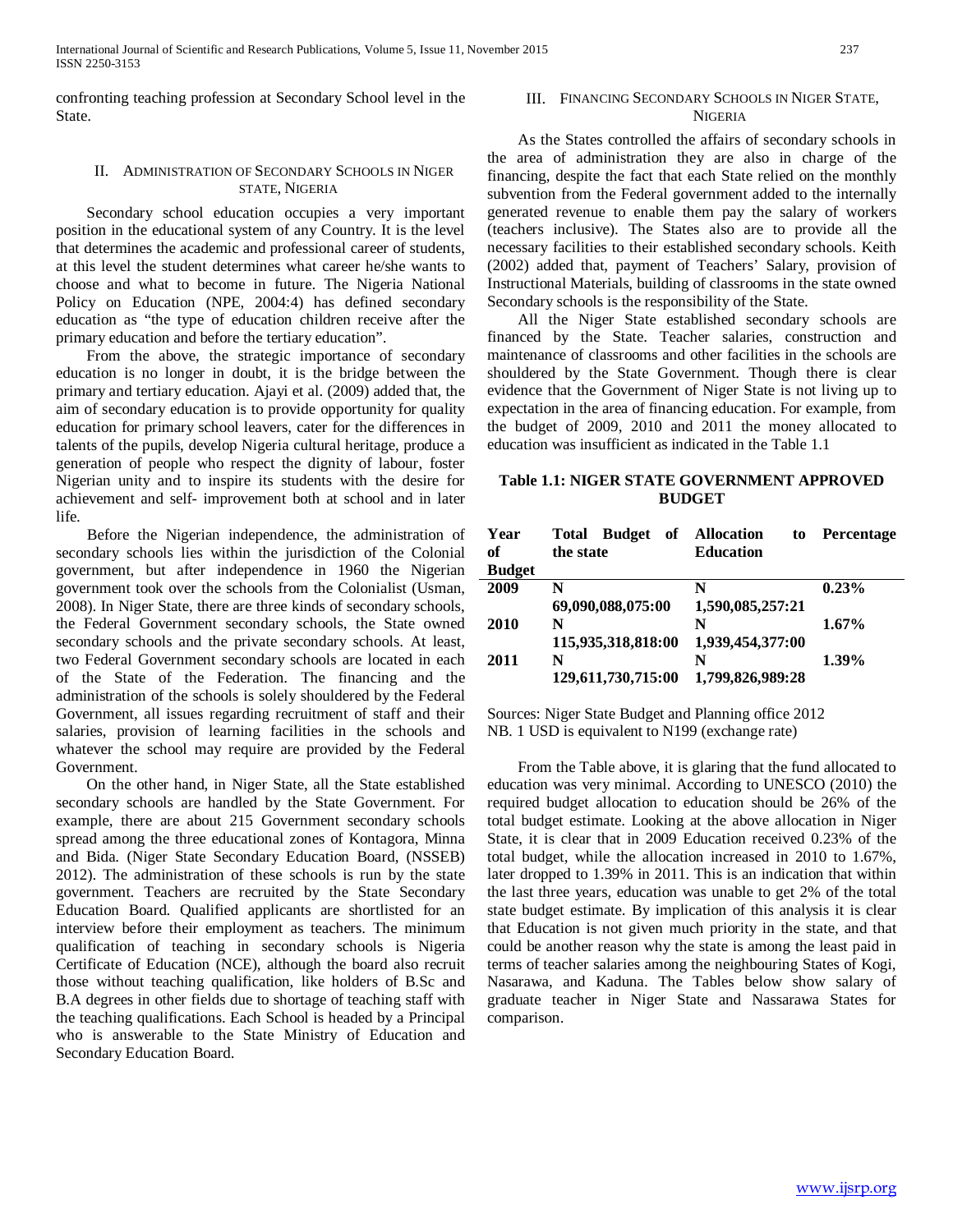confronting teaching profession at Secondary School level in the State.

# II. ADMINISTRATION OF SECONDARY SCHOOLS IN NIGER STATE, NIGERIA

 Secondary school education occupies a very important position in the educational system of any Country. It is the level that determines the academic and professional career of students, at this level the student determines what career he/she wants to choose and what to become in future. The Nigeria National Policy on Education (NPE, 2004:4) has defined secondary education as "the type of education children receive after the primary education and before the tertiary education".

 From the above, the strategic importance of secondary education is no longer in doubt, it is the bridge between the primary and tertiary education. Ajayi et al. (2009) added that, the aim of secondary education is to provide opportunity for quality education for primary school leavers, cater for the differences in talents of the pupils, develop Nigeria cultural heritage, produce a generation of people who respect the dignity of labour, foster Nigerian unity and to inspire its students with the desire for achievement and self- improvement both at school and in later life.

 Before the Nigerian independence, the administration of secondary schools lies within the jurisdiction of the Colonial government, but after independence in 1960 the Nigerian government took over the schools from the Colonialist (Usman, 2008). In Niger State, there are three kinds of secondary schools, the Federal Government secondary schools, the State owned secondary schools and the private secondary schools. At least, two Federal Government secondary schools are located in each of the State of the Federation. The financing and the administration of the schools is solely shouldered by the Federal Government, all issues regarding recruitment of staff and their salaries, provision of learning facilities in the schools and whatever the school may require are provided by the Federal Government.

 On the other hand, in Niger State, all the State established secondary schools are handled by the State Government. For example, there are about 215 Government secondary schools spread among the three educational zones of Kontagora, Minna and Bida. (Niger State Secondary Education Board, (NSSEB) 2012). The administration of these schools is run by the state government. Teachers are recruited by the State Secondary Education Board. Qualified applicants are shortlisted for an interview before their employment as teachers. The minimum qualification of teaching in secondary schools is Nigeria Certificate of Education (NCE), although the board also recruit those without teaching qualification, like holders of B.Sc and B.A degrees in other fields due to shortage of teaching staff with the teaching qualifications. Each School is headed by a Principal who is answerable to the State Ministry of Education and Secondary Education Board.

## III. FINANCING SECONDARY SCHOOLS IN NIGER STATE, **NIGERIA**

 As the States controlled the affairs of secondary schools in the area of administration they are also in charge of the financing, despite the fact that each State relied on the monthly subvention from the Federal government added to the internally generated revenue to enable them pay the salary of workers (teachers inclusive). The States also are to provide all the necessary facilities to their established secondary schools. Keith (2002) added that, payment of Teachers' Salary, provision of Instructional Materials, building of classrooms in the state owned Secondary schools is the responsibility of the State.

 All the Niger State established secondary schools are financed by the State. Teacher salaries, construction and maintenance of classrooms and other facilities in the schools are shouldered by the State Government. Though there is clear evidence that the Government of Niger State is not living up to expectation in the area of financing education. For example, from the budget of 2009, 2010 and 2011 the money allocated to education was insufficient as indicated in the Table 1.1

# **Table 1.1: NIGER STATE GOVERNMENT APPROVED BUDGET**

| Year<br>of    | <b>Budget</b><br>of<br><b>Total</b><br>the state | <b>Allocation</b><br>to<br><b>Education</b> | <b>Percentage</b> |  |
|---------------|--------------------------------------------------|---------------------------------------------|-------------------|--|
| <b>Budget</b> |                                                  |                                             |                   |  |
| 2009          | N                                                | N                                           | 0.23%             |  |
|               | 69,090,088,075:00                                | 1,590,085,257:21                            |                   |  |
| 2010          | N                                                | N                                           | 1.67%             |  |
|               | 115,935,318,818:00                               | 1,939,454,377:00                            |                   |  |
| 2011          | N                                                | N                                           | 1.39%             |  |
|               | 129,611,730,715:00                               | 1,799,826,989:28                            |                   |  |

Sources: Niger State Budget and Planning office 2012 NB. 1 USD is equivalent to N199 (exchange rate)

 From the Table above, it is glaring that the fund allocated to education was very minimal. According to UNESCO (2010) the required budget allocation to education should be 26% of the total budget estimate. Looking at the above allocation in Niger State, it is clear that in 2009 Education received 0.23% of the total budget, while the allocation increased in 2010 to 1.67%, later dropped to 1.39% in 2011. This is an indication that within the last three years, education was unable to get 2% of the total state budget estimate. By implication of this analysis it is clear that Education is not given much priority in the state, and that could be another reason why the state is among the least paid in terms of teacher salaries among the neighbouring States of Kogi, Nasarawa, and Kaduna. The Tables below show salary of graduate teacher in Niger State and Nassarawa States for comparison.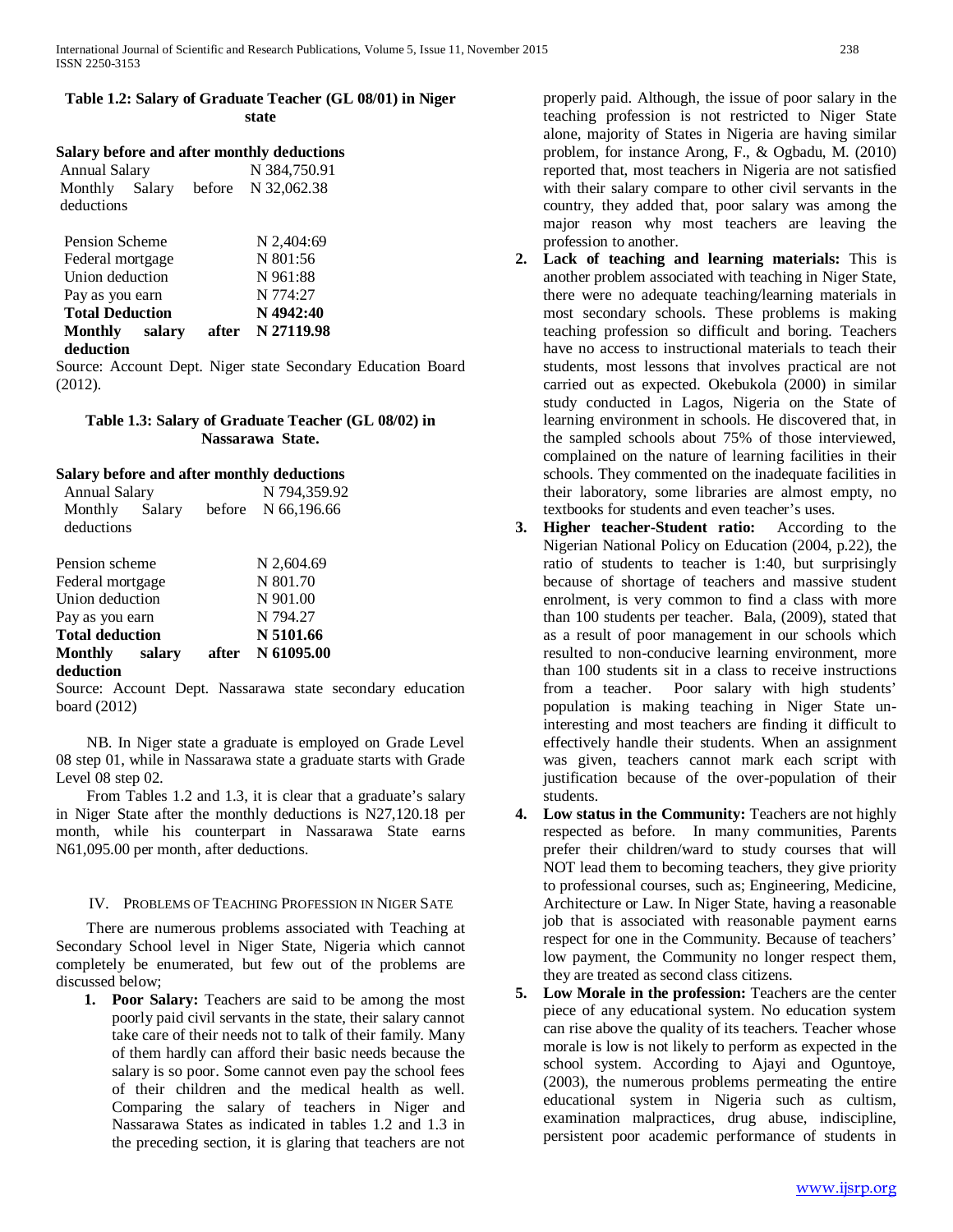# **Table 1.2: Salary of Graduate Teacher (GL 08/01) in Niger state**

# **Salary before and after monthly deductions**

| Annual Salary |  |  | N 384,750.91                      |
|---------------|--|--|-----------------------------------|
|               |  |  | Monthly Salary before N 32,062.38 |
| deductions    |  |  |                                   |

| Pension Scheme         |       | N 2,404:69 |
|------------------------|-------|------------|
| Federal mortgage       |       | N 801:56   |
| Union deduction        |       | N 961:88   |
| Pay as you earn        |       | N 774:27   |
| <b>Total Deduction</b> |       | N 4942:40  |
| Monthly salary         | after | N 27119.98 |
| deduction              |       |            |

Source: Account Dept. Niger state Secondary Education Board (2012).

# **Table 1.3: Salary of Graduate Teacher (GL 08/02) in Nassarawa State.**

# **Salary before and after monthly deductions**

| <b>Annual Salary</b>   |  |       | N 794,359.92       |
|------------------------|--|-------|--------------------|
| Monthly Salary         |  |       | before N 66,196.66 |
| deductions             |  |       |                    |
| Pension scheme         |  |       | N 2,604.69         |
|                        |  |       |                    |
| Federal mortgage       |  |       | N 801.70           |
| Union deduction        |  |       | N 901.00           |
| Pay as you earn        |  |       | N 794.27           |
| <b>Total deduction</b> |  |       | N 5101.66          |
| Monthly salary         |  | after | N 61095.00         |
| deduction              |  |       |                    |

Source: Account Dept. Nassarawa state secondary education board (2012)

 NB. In Niger state a graduate is employed on Grade Level 08 step 01, while in Nassarawa state a graduate starts with Grade Level 08 step 02.

 From Tables 1.2 and 1.3, it is clear that a graduate's salary in Niger State after the monthly deductions is N27,120.18 per month, while his counterpart in Nassarawa State earns N61,095.00 per month, after deductions.

## IV. PROBLEMS OF TEACHING PROFESSION IN NIGER SATE

 There are numerous problems associated with Teaching at Secondary School level in Niger State, Nigeria which cannot completely be enumerated, but few out of the problems are discussed below;

**1. Poor Salary:** Teachers are said to be among the most poorly paid civil servants in the state, their salary cannot take care of their needs not to talk of their family. Many of them hardly can afford their basic needs because the salary is so poor. Some cannot even pay the school fees of their children and the medical health as well. Comparing the salary of teachers in Niger and Nassarawa States as indicated in tables 1.2 and 1.3 in the preceding section, it is glaring that teachers are not

properly paid. Although, the issue of poor salary in the teaching profession is not restricted to Niger State alone, majority of States in Nigeria are having similar problem, for instance Arong, F., & Ogbadu, M. (2010) reported that, most teachers in Nigeria are not satisfied with their salary compare to other civil servants in the country, they added that, poor salary was among the major reason why most teachers are leaving the profession to another.

- **2. Lack of teaching and learning materials:** This is another problem associated with teaching in Niger State, there were no adequate teaching/learning materials in most secondary schools. These problems is making teaching profession so difficult and boring. Teachers have no access to instructional materials to teach their students, most lessons that involves practical are not carried out as expected. Okebukola (2000) in similar study conducted in Lagos, Nigeria on the State of learning environment in schools. He discovered that, in the sampled schools about 75% of those interviewed, complained on the nature of learning facilities in their schools. They commented on the inadequate facilities in their laboratory, some libraries are almost empty, no textbooks for students and even teacher's uses.
- **3. Higher teacher-Student ratio:** According to the Nigerian National Policy on Education (2004, p.22), the ratio of students to teacher is 1:40, but surprisingly because of shortage of teachers and massive student enrolment, is very common to find a class with more than 100 students per teacher. Bala, (2009), stated that as a result of poor management in our schools which resulted to non-conducive learning environment, more than 100 students sit in a class to receive instructions from a teacher. Poor salary with high students' population is making teaching in Niger State uninteresting and most teachers are finding it difficult to effectively handle their students. When an assignment was given, teachers cannot mark each script with justification because of the over-population of their students.
- **4. Low status in the Community:** Teachers are not highly respected as before. In many communities, Parents prefer their children/ward to study courses that will NOT lead them to becoming teachers, they give priority to professional courses, such as; Engineering, Medicine, Architecture or Law. In Niger State, having a reasonable job that is associated with reasonable payment earns respect for one in the Community. Because of teachers' low payment, the Community no longer respect them, they are treated as second class citizens.
- **5. Low Morale in the profession:** Teachers are the center piece of any educational system. No education system can rise above the quality of its teachers. Teacher whose morale is low is not likely to perform as expected in the school system. According to Ajayi and Oguntoye, (2003), the numerous problems permeating the entire educational system in Nigeria such as cultism, examination malpractices, drug abuse, indiscipline, persistent poor academic performance of students in